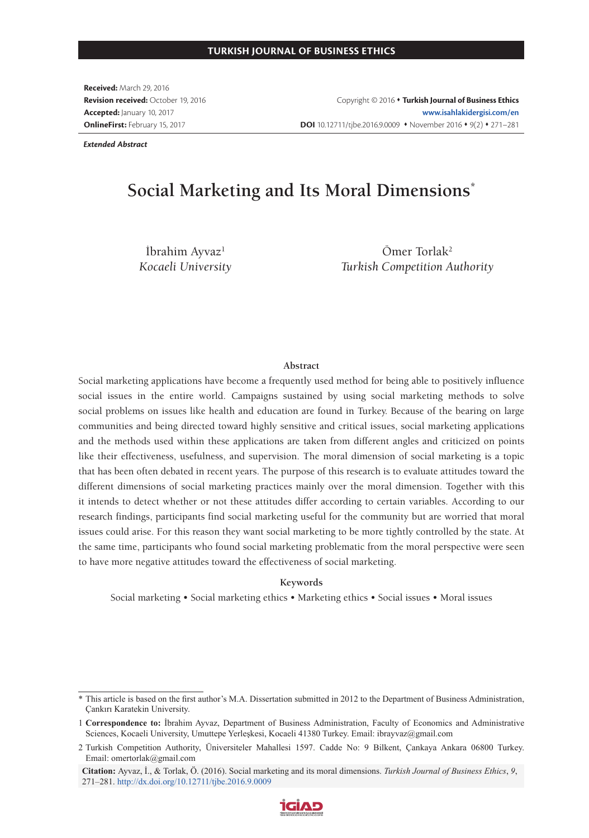**Received:** March 29, 2016 **Revision received:** October 19, 2016 **Accepted:** January 10, 2017 **OnlineFirst:** February 15, 2017

Copyright © 2016 **Turkish Journal of Business Ethics www.isahlakidergisi.com/en DOI** 10.12711/tjbe.2016.9.0009 • November 2016 • 9(2) • 271–281

*Extended Abstract*

# **Social Marketing and Its Moral Dimensions\***

İbrahim Ayvaz<sup>1</sup> *Kocaeli University*

Ömer Torlak2 *Turkish Competition Authority*

#### **Abstract**

Social marketing applications have become a frequently used method for being able to positively influence social issues in the entire world. Campaigns sustained by using social marketing methods to solve social problems on issues like health and education are found in Turkey. Because of the bearing on large communities and being directed toward highly sensitive and critical issues, social marketing applications and the methods used within these applications are taken from different angles and criticized on points like their effectiveness, usefulness, and supervision. The moral dimension of social marketing is a topic that has been often debated in recent years. The purpose of this research is to evaluate attitudes toward the different dimensions of social marketing practices mainly over the moral dimension. Together with this it intends to detect whether or not these attitudes differ according to certain variables. According to our research findings, participants find social marketing useful for the community but are worried that moral issues could arise. For this reason they want social marketing to be more tightly controlled by the state. At the same time, participants who found social marketing problematic from the moral perspective were seen to have more negative attitudes toward the effectiveness of social marketing.

#### **Keywords**

Social marketing • Social marketing ethics • Marketing ethics • Social issues • Moral issues

**Citation:** Ayvaz, İ., & Torlak, Ö. (2016). Social marketing and its moral dimensions. *Turkish Journal of Business Ethics*, *9*, 271–281. http://dx.doi.org/10.12711/tjbe.2016.9.0009



<sup>\*</sup> This article is based on the first author's M.A. Dissertation submitted in 2012 to the Department of Business Administration, Çankırı Karatekin University.

<sup>1</sup> **Correspondence to:** İbrahim Ayvaz, Department of Business Administration, Faculty of Economics and Administrative Sciences, Kocaeli University, Umuttepe Yerleşkesi, Kocaeli 41380 Turkey. Email: ibrayvaz@gmail.com

<sup>2</sup> Turkish Competition Authority, Üniversiteler Mahallesi 1597. Cadde No: 9 Bilkent, Çankaya Ankara 06800 Turkey. Email: omertorlak@gmail.com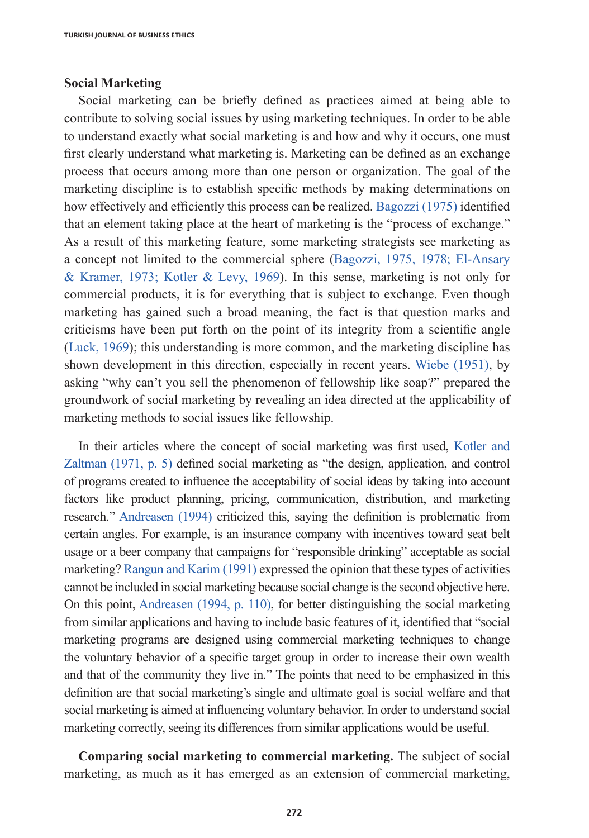### **Social Marketing**

Social marketing can be briefly defined as practices aimed at being able to contribute to solving social issues by using marketing techniques. In order to be able to understand exactly what social marketing is and how and why it occurs, one must first clearly understand what marketing is. Marketing can be defined as an exchange process that occurs among more than one person or organization. The goal of the marketing discipline is to establish specific methods by making determinations on how effectively and efficiently this process can be realized. Bagozzi (1975) identified that an element taking place at the heart of marketing is the "process of exchange." As a result of this marketing feature, some marketing strategists see marketing as a concept not limited to the commercial sphere (Bagozzi, 1975, 1978; El-Ansary & Kramer, 1973; Kotler & Levy, 1969). In this sense, marketing is not only for commercial products, it is for everything that is subject to exchange. Even though marketing has gained such a broad meaning, the fact is that question marks and criticisms have been put forth on the point of its integrity from a scientific angle (Luck, 1969); this understanding is more common, and the marketing discipline has shown development in this direction, especially in recent years. Wiebe (1951), by asking "why can't you sell the phenomenon of fellowship like soap?" prepared the groundwork of social marketing by revealing an idea directed at the applicability of marketing methods to social issues like fellowship.

In their articles where the concept of social marketing was first used, Kotler and Zaltman (1971, p. 5) defined social marketing as "the design, application, and control of programs created to influence the acceptability of social ideas by taking into account factors like product planning, pricing, communication, distribution, and marketing research." Andreasen (1994) criticized this, saying the definition is problematic from certain angles. For example, is an insurance company with incentives toward seat belt usage or a beer company that campaigns for "responsible drinking" acceptable as social marketing? Rangun and Karim (1991) expressed the opinion that these types of activities cannot be included in social marketing because social change is the second objective here. On this point, Andreasen (1994, p. 110), for better distinguishing the social marketing from similar applications and having to include basic features of it, identified that "social marketing programs are designed using commercial marketing techniques to change the voluntary behavior of a specific target group in order to increase their own wealth and that of the community they live in." The points that need to be emphasized in this definition are that social marketing's single and ultimate goal is social welfare and that social marketing is aimed at influencing voluntary behavior. In order to understand social marketing correctly, seeing its differences from similar applications would be useful.

**Comparing social marketing to commercial marketing.** The subject of social marketing, as much as it has emerged as an extension of commercial marketing,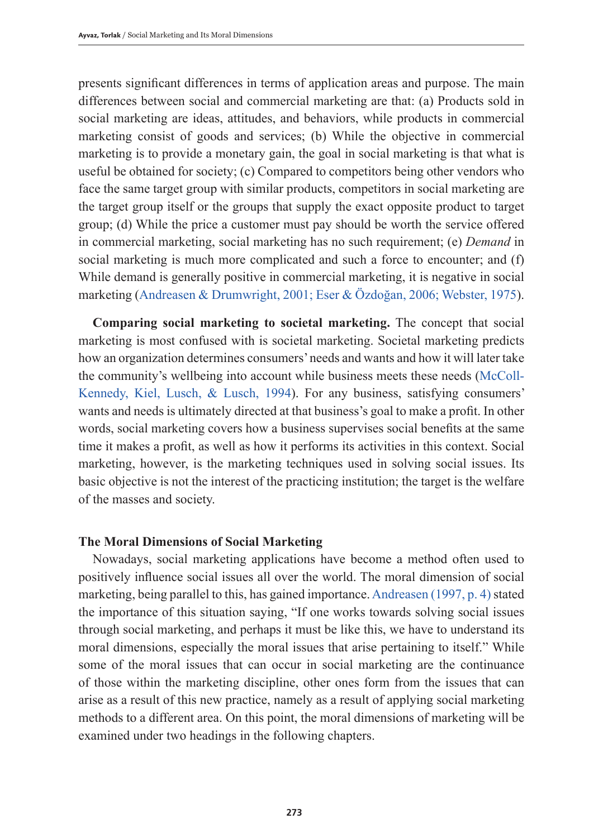presents significant differences in terms of application areas and purpose. The main differences between social and commercial marketing are that: (a) Products sold in social marketing are ideas, attitudes, and behaviors, while products in commercial marketing consist of goods and services; (b) While the objective in commercial marketing is to provide a monetary gain, the goal in social marketing is that what is useful be obtained for society; (c) Compared to competitors being other vendors who face the same target group with similar products, competitors in social marketing are the target group itself or the groups that supply the exact opposite product to target group; (d) While the price a customer must pay should be worth the service offered in commercial marketing, social marketing has no such requirement; (e) *Demand* in social marketing is much more complicated and such a force to encounter; and (f) While demand is generally positive in commercial marketing, it is negative in social marketing (Andreasen & Drumwright, 2001; Eser & Özdoğan, 2006; Webster, 1975).

**Comparing social marketing to societal marketing.** The concept that social marketing is most confused with is societal marketing. Societal marketing predicts how an organization determines consumers' needs and wants and how it will later take the community's wellbeing into account while business meets these needs (McColl-Kennedy, Kiel, Lusch, & Lusch, 1994). For any business, satisfying consumers' wants and needs is ultimately directed at that business's goal to make a profit. In other words, social marketing covers how a business supervises social benefits at the same time it makes a profit, as well as how it performs its activities in this context. Social marketing, however, is the marketing techniques used in solving social issues. Its basic objective is not the interest of the practicing institution; the target is the welfare of the masses and society.

# **The Moral Dimensions of Social Marketing**

Nowadays, social marketing applications have become a method often used to positively influence social issues all over the world. The moral dimension of social marketing, being parallel to this, has gained importance. Andreasen (1997, p. 4) stated the importance of this situation saying, "If one works towards solving social issues through social marketing, and perhaps it must be like this, we have to understand its moral dimensions, especially the moral issues that arise pertaining to itself." While some of the moral issues that can occur in social marketing are the continuance of those within the marketing discipline, other ones form from the issues that can arise as a result of this new practice, namely as a result of applying social marketing methods to a different area. On this point, the moral dimensions of marketing will be examined under two headings in the following chapters.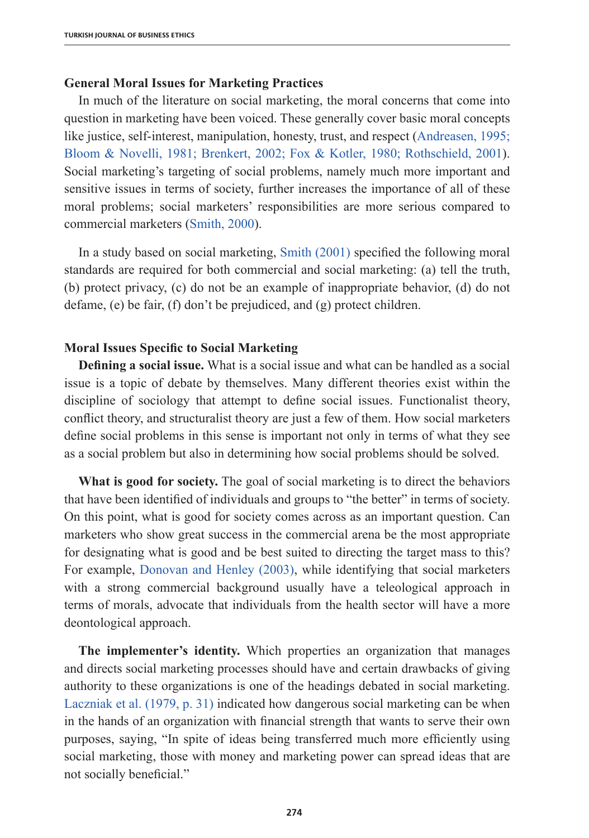# **General Moral Issues for Marketing Practices**

In much of the literature on social marketing, the moral concerns that come into question in marketing have been voiced. These generally cover basic moral concepts like justice, self-interest, manipulation, honesty, trust, and respect (Andreasen, 1995; Bloom & Novelli, 1981; Brenkert, 2002; Fox & Kotler, 1980; Rothschield, 2001). Social marketing's targeting of social problems, namely much more important and sensitive issues in terms of society, further increases the importance of all of these moral problems; social marketers' responsibilities are more serious compared to commercial marketers (Smith, 2000).

In a study based on social marketing, Smith (2001) specified the following moral standards are required for both commercial and social marketing: (a) tell the truth, (b) protect privacy, (c) do not be an example of inappropriate behavior, (d) do not defame, (e) be fair, (f) don't be prejudiced, and (g) protect children.

### **Moral Issues Specific to Social Marketing**

**Defining a social issue.** What is a social issue and what can be handled as a social issue is a topic of debate by themselves. Many different theories exist within the discipline of sociology that attempt to define social issues. Functionalist theory, conflict theory, and structuralist theory are just a few of them. How social marketers define social problems in this sense is important not only in terms of what they see as a social problem but also in determining how social problems should be solved.

**What is good for society.** The goal of social marketing is to direct the behaviors that have been identified of individuals and groups to "the better" in terms of society. On this point, what is good for society comes across as an important question. Can marketers who show great success in the commercial arena be the most appropriate for designating what is good and be best suited to directing the target mass to this? For example, Donovan and Henley (2003), while identifying that social marketers with a strong commercial background usually have a teleological approach in terms of morals, advocate that individuals from the health sector will have a more deontological approach.

**The implementer's identity.** Which properties an organization that manages and directs social marketing processes should have and certain drawbacks of giving authority to these organizations is one of the headings debated in social marketing. Laczniak et al. (1979, p. 31) indicated how dangerous social marketing can be when in the hands of an organization with financial strength that wants to serve their own purposes, saying, "In spite of ideas being transferred much more efficiently using social marketing, those with money and marketing power can spread ideas that are not socially beneficial."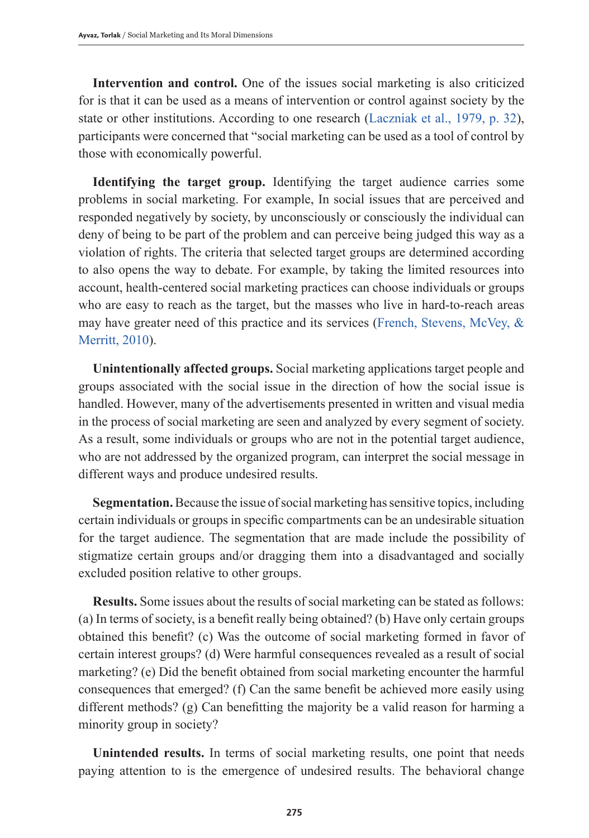**Intervention and control.** One of the issues social marketing is also criticized for is that it can be used as a means of intervention or control against society by the state or other institutions. According to one research (Laczniak et al., 1979, p. 32), participants were concerned that "social marketing can be used as a tool of control by those with economically powerful.

**Identifying the target group.** Identifying the target audience carries some problems in social marketing. For example, In social issues that are perceived and responded negatively by society, by unconsciously or consciously the individual can deny of being to be part of the problem and can perceive being judged this way as a violation of rights. The criteria that selected target groups are determined according to also opens the way to debate. For example, by taking the limited resources into account, health-centered social marketing practices can choose individuals or groups who are easy to reach as the target, but the masses who live in hard-to-reach areas may have greater need of this practice and its services (French, Stevens, McVey, & Merritt, 2010).

**Unintentionally affected groups.** Social marketing applications target people and groups associated with the social issue in the direction of how the social issue is handled. However, many of the advertisements presented in written and visual media in the process of social marketing are seen and analyzed by every segment of society. As a result, some individuals or groups who are not in the potential target audience, who are not addressed by the organized program, can interpret the social message in different ways and produce undesired results.

**Segmentation.** Because the issue of social marketing has sensitive topics, including certain individuals or groups in specific compartments can be an undesirable situation for the target audience. The segmentation that are made include the possibility of stigmatize certain groups and/or dragging them into a disadvantaged and socially excluded position relative to other groups.

**Results.** Some issues about the results of social marketing can be stated as follows: (a) In terms of society, is a benefit really being obtained? (b) Have only certain groups obtained this benefit? (c) Was the outcome of social marketing formed in favor of certain interest groups? (d) Were harmful consequences revealed as a result of social marketing? (e) Did the benefit obtained from social marketing encounter the harmful consequences that emerged? (f) Can the same benefit be achieved more easily using different methods? (g) Can benefitting the majority be a valid reason for harming a minority group in society?

**Unintended results.** In terms of social marketing results, one point that needs paying attention to is the emergence of undesired results. The behavioral change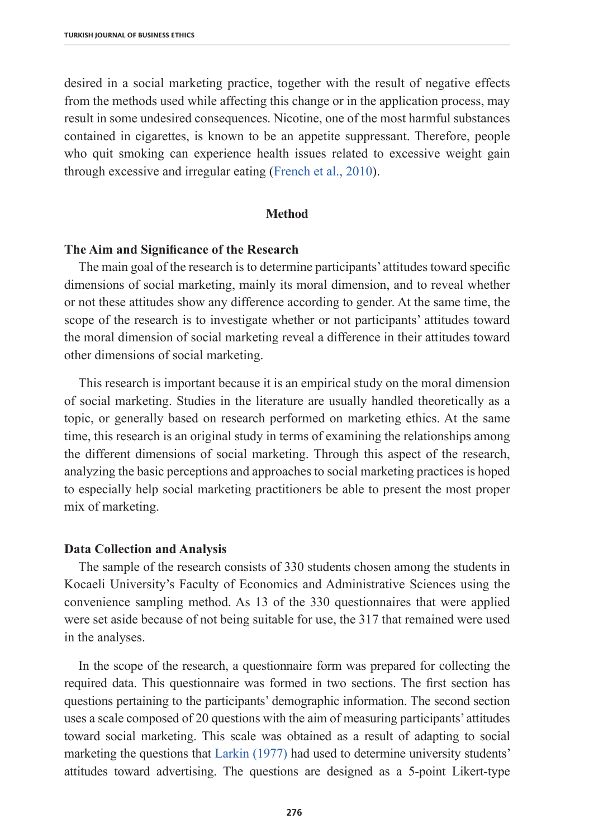desired in a social marketing practice, together with the result of negative effects from the methods used while affecting this change or in the application process, may result in some undesired consequences. Nicotine, one of the most harmful substances contained in cigarettes, is known to be an appetite suppressant. Therefore, people who quit smoking can experience health issues related to excessive weight gain through excessive and irregular eating (French et al., 2010).

#### **Method**

#### **The Aim and Significance of the Research**

The main goal of the research is to determine participants' attitudes toward specific dimensions of social marketing, mainly its moral dimension, and to reveal whether or not these attitudes show any difference according to gender. At the same time, the scope of the research is to investigate whether or not participants' attitudes toward the moral dimension of social marketing reveal a difference in their attitudes toward other dimensions of social marketing.

This research is important because it is an empirical study on the moral dimension of social marketing. Studies in the literature are usually handled theoretically as a topic, or generally based on research performed on marketing ethics. At the same time, this research is an original study in terms of examining the relationships among the different dimensions of social marketing. Through this aspect of the research, analyzing the basic perceptions and approaches to social marketing practices is hoped to especially help social marketing practitioners be able to present the most proper mix of marketing.

#### **Data Collection and Analysis**

The sample of the research consists of 330 students chosen among the students in Kocaeli University's Faculty of Economics and Administrative Sciences using the convenience sampling method. As 13 of the 330 questionnaires that were applied were set aside because of not being suitable for use, the 317 that remained were used in the analyses.

In the scope of the research, a questionnaire form was prepared for collecting the required data. This questionnaire was formed in two sections. The first section has questions pertaining to the participants' demographic information. The second section uses a scale composed of 20 questions with the aim of measuring participants' attitudes toward social marketing. This scale was obtained as a result of adapting to social marketing the questions that Larkin (1977) had used to determine university students' attitudes toward advertising. The questions are designed as a 5-point Likert-type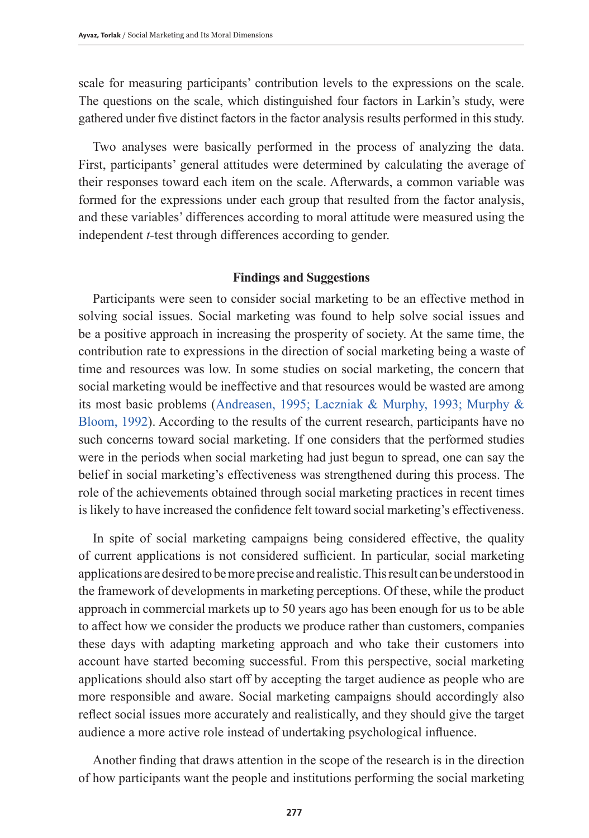scale for measuring participants' contribution levels to the expressions on the scale. The questions on the scale, which distinguished four factors in Larkin's study, were gathered under five distinct factors in the factor analysis results performed in this study.

Two analyses were basically performed in the process of analyzing the data. First, participants' general attitudes were determined by calculating the average of their responses toward each item on the scale. Afterwards, a common variable was formed for the expressions under each group that resulted from the factor analysis, and these variables' differences according to moral attitude were measured using the independent *t-*test through differences according to gender.

## **Findings and Suggestions**

Participants were seen to consider social marketing to be an effective method in solving social issues. Social marketing was found to help solve social issues and be a positive approach in increasing the prosperity of society. At the same time, the contribution rate to expressions in the direction of social marketing being a waste of time and resources was low. In some studies on social marketing, the concern that social marketing would be ineffective and that resources would be wasted are among its most basic problems (Andreasen, 1995; Laczniak & Murphy, 1993; Murphy & Bloom, 1992). According to the results of the current research, participants have no such concerns toward social marketing. If one considers that the performed studies were in the periods when social marketing had just begun to spread, one can say the belief in social marketing's effectiveness was strengthened during this process. The role of the achievements obtained through social marketing practices in recent times is likely to have increased the confidence felt toward social marketing's effectiveness.

In spite of social marketing campaigns being considered effective, the quality of current applications is not considered sufficient. In particular, social marketing applications are desired to be more precise and realistic. This result can be understood in the framework of developments in marketing perceptions. Of these, while the product approach in commercial markets up to 50 years ago has been enough for us to be able to affect how we consider the products we produce rather than customers, companies these days with adapting marketing approach and who take their customers into account have started becoming successful. From this perspective, social marketing applications should also start off by accepting the target audience as people who are more responsible and aware. Social marketing campaigns should accordingly also reflect social issues more accurately and realistically, and they should give the target audience a more active role instead of undertaking psychological influence.

Another finding that draws attention in the scope of the research is in the direction of how participants want the people and institutions performing the social marketing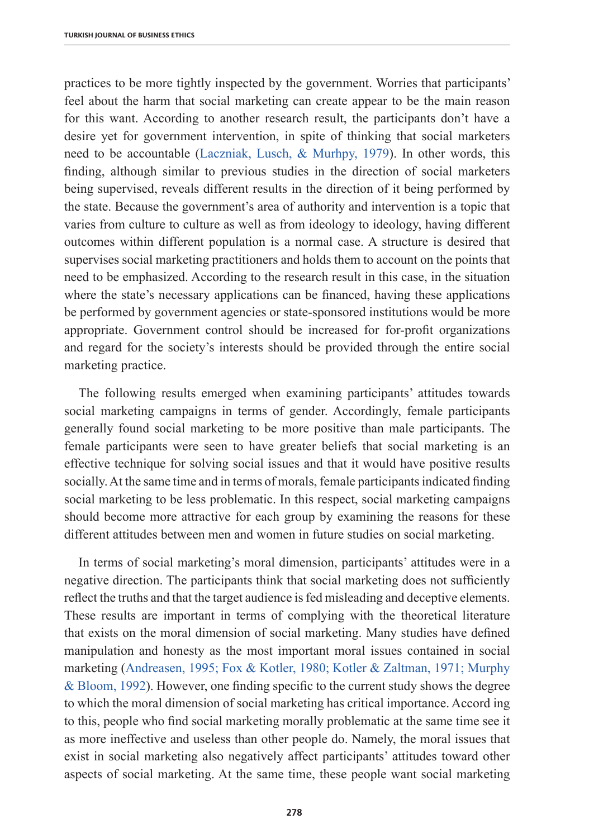practices to be more tightly inspected by the government. Worries that participants' feel about the harm that social marketing can create appear to be the main reason for this want. According to another research result, the participants don't have a desire yet for government intervention, in spite of thinking that social marketers need to be accountable (Laczniak, Lusch, & Murhpy, 1979). In other words, this finding, although similar to previous studies in the direction of social marketers being supervised, reveals different results in the direction of it being performed by the state. Because the government's area of authority and intervention is a topic that varies from culture to culture as well as from ideology to ideology, having different outcomes within different population is a normal case. A structure is desired that supervises social marketing practitioners and holds them to account on the points that need to be emphasized. According to the research result in this case, in the situation where the state's necessary applications can be financed, having these applications be performed by government agencies or state-sponsored institutions would be more appropriate. Government control should be increased for for-profit organizations and regard for the society's interests should be provided through the entire social marketing practice.

The following results emerged when examining participants' attitudes towards social marketing campaigns in terms of gender. Accordingly, female participants generally found social marketing to be more positive than male participants. The female participants were seen to have greater beliefs that social marketing is an effective technique for solving social issues and that it would have positive results socially. At the same time and in terms of morals, female participants indicated finding social marketing to be less problematic. In this respect, social marketing campaigns should become more attractive for each group by examining the reasons for these different attitudes between men and women in future studies on social marketing.

In terms of social marketing's moral dimension, participants' attitudes were in a negative direction. The participants think that social marketing does not sufficiently reflect the truths and that the target audience is fed misleading and deceptive elements. These results are important in terms of complying with the theoretical literature that exists on the moral dimension of social marketing. Many studies have defined manipulation and honesty as the most important moral issues contained in social marketing (Andreasen, 1995; Fox & Kotler, 1980; Kotler & Zaltman, 1971; Murphy & Bloom, 1992). However, one finding specific to the current study shows the degree to which the moral dimension of social marketing has critical importance. Accord ing to this, people who find social marketing morally problematic at the same time see it as more ineffective and useless than other people do. Namely, the moral issues that exist in social marketing also negatively affect participants' attitudes toward other aspects of social marketing. At the same time, these people want social marketing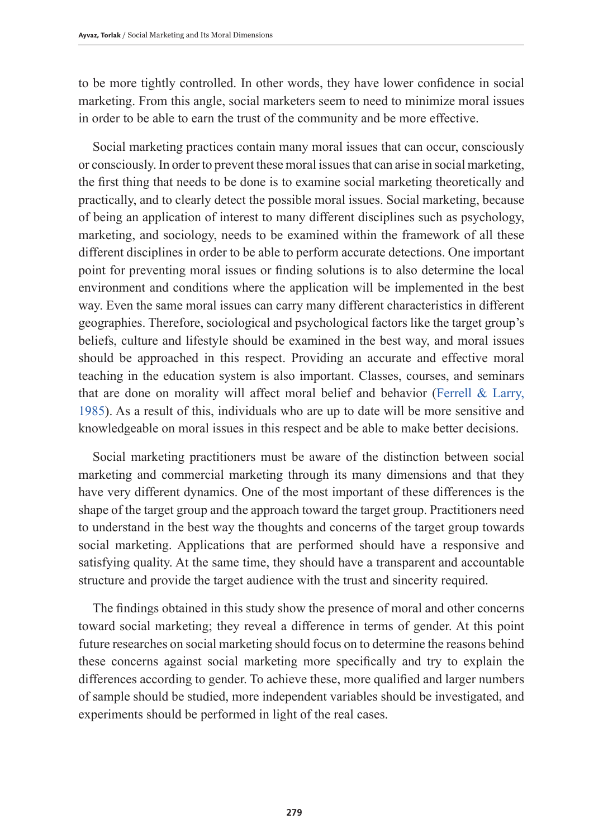to be more tightly controlled. In other words, they have lower confidence in social marketing. From this angle, social marketers seem to need to minimize moral issues in order to be able to earn the trust of the community and be more effective.

Social marketing practices contain many moral issues that can occur, consciously or consciously. In order to prevent these moral issues that can arise in social marketing, the first thing that needs to be done is to examine social marketing theoretically and practically, and to clearly detect the possible moral issues. Social marketing, because of being an application of interest to many different disciplines such as psychology, marketing, and sociology, needs to be examined within the framework of all these different disciplines in order to be able to perform accurate detections. One important point for preventing moral issues or finding solutions is to also determine the local environment and conditions where the application will be implemented in the best way. Even the same moral issues can carry many different characteristics in different geographies. Therefore, sociological and psychological factors like the target group's beliefs, culture and lifestyle should be examined in the best way, and moral issues should be approached in this respect. Providing an accurate and effective moral teaching in the education system is also important. Classes, courses, and seminars that are done on morality will affect moral belief and behavior (Ferrell  $& Larry$ , 1985). As a result of this, individuals who are up to date will be more sensitive and knowledgeable on moral issues in this respect and be able to make better decisions.

Social marketing practitioners must be aware of the distinction between social marketing and commercial marketing through its many dimensions and that they have very different dynamics. One of the most important of these differences is the shape of the target group and the approach toward the target group. Practitioners need to understand in the best way the thoughts and concerns of the target group towards social marketing. Applications that are performed should have a responsive and satisfying quality. At the same time, they should have a transparent and accountable structure and provide the target audience with the trust and sincerity required.

The findings obtained in this study show the presence of moral and other concerns toward social marketing; they reveal a difference in terms of gender. At this point future researches on social marketing should focus on to determine the reasons behind these concerns against social marketing more specifically and try to explain the differences according to gender. To achieve these, more qualified and larger numbers of sample should be studied, more independent variables should be investigated, and experiments should be performed in light of the real cases.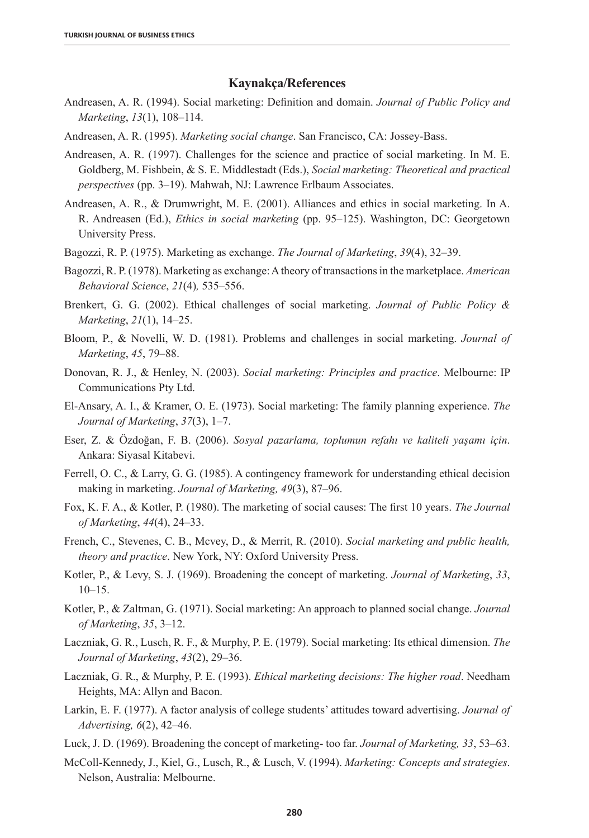#### **Kaynakça/References**

- Andreasen, A. R. (1994). Social marketing: Definition and domain. *Journal of Public Policy and Marketing*, *13*(1), 108–114.
- Andreasen, A. R. (1995). *Marketing social change*. San Francisco, CA: Jossey-Bass.
- Andreasen, A. R. (1997). Challenges for the science and practice of social marketing. In M. E. Goldberg, M. Fishbein, & S. E. Middlestadt (Eds.), *Social marketing: Theoretical and practical perspectives* (pp. 3–19). Mahwah, NJ: Lawrence Erlbaum Associates.
- Andreasen, A. R., & Drumwright, M. E. (2001). Alliances and ethics in social marketing. In A. R. Andreasen (Ed.), *Ethics in social marketing* (pp. 95–125). Washington, DC: Georgetown University Press.
- Bagozzi, R. P. (1975). Marketing as exchange. *The Journal of Marketing*, *39*(4), 32–39.
- Bagozzi, R. P. (1978). Marketing as exchange: A theory of transactions in the marketplace. *American Behavioral Science*, *21*(4)*,* 535–556.
- Brenkert, G. G. (2002). Ethical challenges of social marketing. *Journal of Public Policy & Marketing*, *21*(1), 14–25.
- Bloom, P., & Novelli, W. D. (1981). Problems and challenges in social marketing. *Journal of Marketing*, *45*, 79–88.
- Donovan, R. J., & Henley, N. (2003). *Social marketing: Principles and practice*. Melbourne: IP Communications Pty Ltd.
- El-Ansary, A. I., & Kramer, O. E. (1973). Social marketing: The family planning experience. *The Journal of Marketing*, *37*(3), 1–7.
- Eser, Z. & Özdoğan, F. B. (2006). *Sosyal pazarlama, toplumun refahı ve kaliteli yaşamı için*. Ankara: Siyasal Kitabevi.
- Ferrell, O. C., & Larry, G. G. (1985). A contingency framework for understanding ethical decision making in marketing. *Journal of Marketing, 49*(3), 87–96.
- Fox, K. F. A., & Kotler, P. (1980). The marketing of social causes: The first 10 years. *The Journal of Marketing*, *44*(4), 24–33.
- French, C., Stevenes, C. B., Mcvey, D., & Merrit, R. (2010). *Social marketing and public health, theory and practice*. New York, NY: Oxford University Press.
- Kotler, P., & Levy, S. J. (1969). Broadening the concept of marketing. *Journal of Marketing*, *33*, 10–15.
- Kotler, P., & Zaltman, G. (1971). Social marketing: An approach to planned social change. *Journal of Marketing*, *35*, 3–12.
- Laczniak, G. R., Lusch, R. F., & Murphy, P. E. (1979). Social marketing: Its ethical dimension. *The Journal of Marketing*, *43*(2), 29–36.
- Laczniak, G. R., & Murphy, P. E. (1993). *Ethical marketing decisions: The higher road*. Needham Heights, MA: Allyn and Bacon.
- Larkin, E. F. (1977). A factor analysis of college students' attitudes toward advertising. *Journal of Advertising, 6*(2), 42–46.
- Luck, J. D. (1969). Broadening the concept of marketing- too far. *Journal of Marketing, 33*, 53–63.
- McColl-Kennedy, J., Kiel, G., Lusch, R., & Lusch, V. (1994). *Marketing: Concepts and strategies*. Nelson, Australia: Melbourne.